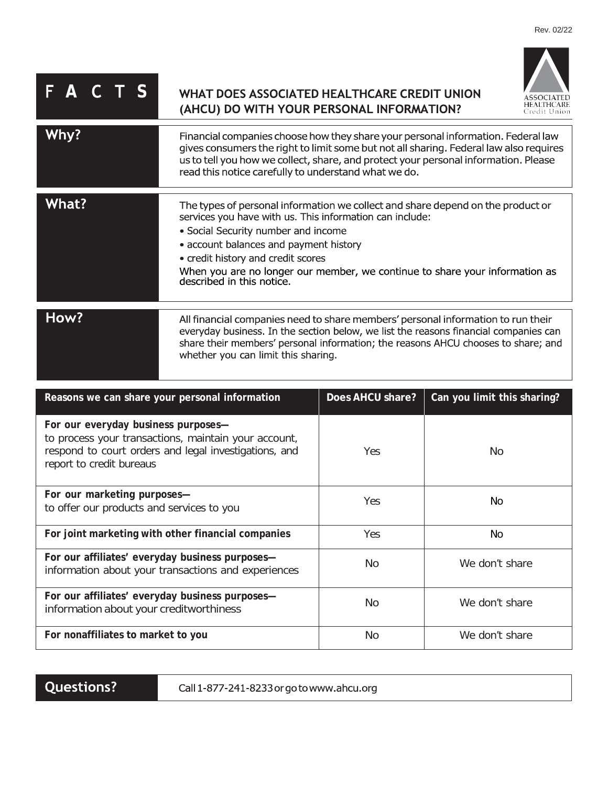## $\overline{P}$  **A C T S** WHAT DOES ASSOCIATED HEALTHCARE CREDIT UNION (AHCU) DO WITH YOUR PERSONAL INFORMATION?



| Why?         | Financial companies choose how they share your personal information. Federal law<br>gives consumers the right to limit some but not all sharing. Federal law also requires<br>us to tell you how we collect, share, and protect your personal information. Please<br>read this notice carefully to understand what we do.                                                      |
|--------------|--------------------------------------------------------------------------------------------------------------------------------------------------------------------------------------------------------------------------------------------------------------------------------------------------------------------------------------------------------------------------------|
| <b>What?</b> | The types of personal information we collect and share depend on the product or<br>services you have with us. This information can include:<br>• Social Security number and income<br>• account balances and payment history<br>• credit history and credit scores<br>When you are no longer our member, we continue to share your information as<br>described in this notice. |
| How?         | All financial companies need to share members' personal information to run their<br>everyday business. In the section below, we list the reasons financial companies can<br>share their members' personal information; the reasons AHCU chooses to share; and<br>whether you can limit this sharing.                                                                           |

| Reasons we can share your personal information                                                                                                                                   | Does AHCU share? | Can you limit this sharing? |
|----------------------------------------------------------------------------------------------------------------------------------------------------------------------------------|------------------|-----------------------------|
| For our everyday business purposes-<br>to process your transactions, maintain your account,<br>respond to court orders and legal investigations, and<br>report to credit bureaus | Yes              | No.                         |
| For our marketing purposes-<br>to offer our products and services to you                                                                                                         | Yes              | No.                         |
| For joint marketing with other financial companies                                                                                                                               | <b>Yes</b>       | No.                         |
| For our affiliates' everyday business purposes-<br>information about your transactions and experiences                                                                           | N <sub>o</sub>   | We don't share              |
| For our affiliates' everyday business purposes-<br>information about your creditworthiness                                                                                       | <b>No</b>        | We don't share              |
| For nonaffiliates to market to you                                                                                                                                               | <b>No</b>        | We don't share              |

Questions?

Call 1-877-241-8233 or go to www.ahcu.org